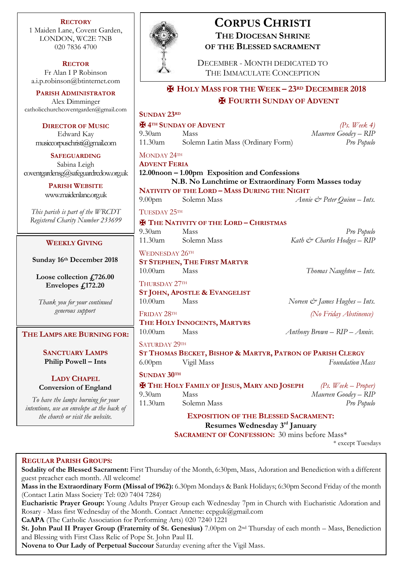**RECTORY** 1 Maiden Lane, Covent Garden, LONDON, WC2E 7NB 020 7836 4700

**RECTOR** Fr Alan I P Robinson [a.i.p.robinson@btinternet.com](mailto:a.i.p.robinson@btinternet.com)

**PARISH ADMINISTRATOR** Alex Dimminger [catholicchurchcoventgarden@gmail.com](mailto:catholicchurchcoventgarden@gmail.com)

**DIRECTOR OF M** Edward Kay  $m$ usiccorpuschristi $@$ gr

**SAFEGUARDIN** Sabina Leigh  $cover the ardensg@safeguard$ 

> **PARISH WEBSI** www.maidenlane.org

*This parish is part of the Registered Charity Numb* 

# **WEEKLY GIVIN**

**Sunday 16<sup>th</sup> Decemb** 

Loose collection  $f$ . Envelopes  $f_{\nu}$ <sub>172</sub>

*Thank you for your co.* generous support

#### $THE$  **LAMPS ARE BUR**

**SANCTUARY LA Philip Powell –** 

**LADY CHAPE Conversion of England** 

To have the lamps burning *intentions, use an envelope a*  $the$  church or visit the  $B$ 



# **CORPUS CHRISTI THE DIOCESAN SHRINE OF THE BLESSED SACRAMENT**

DECEMBER - MONTH DEDICATED TO THE IMMACULATE CONCEPTION

# ✠ **HOLY MASS FOR THE WEEK – 23RD DECEMBER 2018**

# ✠ **FOURTH SUNDAY OF ADVENT**

| $\sim$           | <b>SUNDAY 23RD</b>                                                             |                                                            |  |                                           |  |
|------------------|--------------------------------------------------------------------------------|------------------------------------------------------------|--|-------------------------------------------|--|
| <b>IUSIC</b>     | <b>H</b> 4 <sup>TH</sup> SUNDAY OF ADVENT                                      |                                                            |  | (Ps. Week 4)                              |  |
|                  | 9.30am                                                                         | Mass                                                       |  | Maureen Goodey - RIP                      |  |
| mail.com         | 11.30am                                                                        | Solemn Latin Mass (Ordinary Form)                          |  | Pro Populo                                |  |
| $\sqrt{G}$       | MONDAY 24TH                                                                    |                                                            |  |                                           |  |
|                  | <b>ADVENT FERIA</b>                                                            |                                                            |  |                                           |  |
| rcdow.org.uk     | 12.00noon - 1.00pm Exposition and Confessions                                  |                                                            |  |                                           |  |
| TE               | N.B. No Lunchtime or Extraordinary Form Masses today                           |                                                            |  |                                           |  |
| rguk             | NATIVITY OF THE LORD - MASS DURING THE NIGHT                                   |                                                            |  |                                           |  |
|                  | 9.00 <sub>pm</sub>                                                             | Solemn Mass                                                |  | Annie & Peter Quinn - Ints.               |  |
| WRCDT            | TUESDAY 25TH                                                                   |                                                            |  |                                           |  |
| er 233699        | <b>H</b> THE NATIVITY OF THE LORD - CHRISTMAS                                  |                                                            |  |                                           |  |
|                  | 9.30am                                                                         | Mass                                                       |  | Pro Populo                                |  |
| NG               | $11.30$ am                                                                     | Solemn Mass                                                |  | Kath & Charles Hodges - RIP               |  |
|                  | WEDNESDAY 26TH                                                                 |                                                            |  |                                           |  |
| ber 2018         | ST STEPHEN, THE FIRST MARTYR                                                   |                                                            |  |                                           |  |
|                  | $10.00$ am                                                                     | Mass                                                       |  | Thomas Naughton - Ints.                   |  |
| 726.00           |                                                                                |                                                            |  |                                           |  |
| 2.20             | THURSDAY 27TH                                                                  |                                                            |  |                                           |  |
|                  |                                                                                | ST JOHN, APOSTLE & EVANGELIST                              |  |                                           |  |
| ntinued          | 10.00am                                                                        | Mass                                                       |  | Noreen $\mathcal{Q}$ James Hughes – Ints. |  |
| t                | FRIDAY 28TH                                                                    |                                                            |  | (No Friday Abstinence)                    |  |
|                  | THE HOLY INNOCENTS, MARTYRS                                                    |                                                            |  |                                           |  |
| <b>NING FOR:</b> | $10.00$ am                                                                     | Mass                                                       |  | $Antbony Brown - RIP - Anniv.$            |  |
|                  | SATURDAY 29TH                                                                  |                                                            |  |                                           |  |
| <b>MPS</b>       |                                                                                | ST THOMAS BECKET, BISHOP & MARTYR, PATRON OF PARISH CLERGY |  |                                           |  |
| Ints             | 6.00 <sub>pm</sub>                                                             | Vigil Mass                                                 |  | <b>Foundation Mass</b>                    |  |
|                  | <b>SUNDAY 30TH</b>                                                             |                                                            |  |                                           |  |
| ζL.              |                                                                                |                                                            |  |                                           |  |
| gland            | <b>EX THE HOLY FAMILY OF JESUS, MARY AND JOSEPH</b><br>$(Ps. \ {Weak-Proper})$ |                                                            |  |                                           |  |
| ng for your      | 9.30am                                                                         | Mass                                                       |  | Maureen Goodey - RIP                      |  |
| it the back of   | 11.30am                                                                        | Solemn Mass                                                |  | Pro Populo                                |  |
| website.         | <b>EXPOSITION OF THE BLESSED SACRAMENT:</b>                                    |                                                            |  |                                           |  |
|                  |                                                                                | Resumes Wednesday 3rd January                              |  |                                           |  |

**SACRAMENT OF CONFESSION:** 30 mins before Mass\*

\* except Tuesdays

#### **REGULAR PARISH GROUPS:**

**Sodality of the Blessed Sacrament:** First Thursday of the Month, 6:30pm, Mass, Adoration and Benediction with a different guest preacher each month. All welcome!

**Mass in the Extraordinary Form (Missal of 1962):** 6.30pm Mondays & Bank Holidays; 6:30pm Second Friday of the month (Contact Latin Mass Society Tel: 020 7404 7284)

**Eucharistic Prayer Group:** Young Adults Prayer Group each Wednesday 7pm in Church with Eucharistic Adoration and Rosary - Mass first Wednesday of the Month. Contact Annette: ccpguk@gmail.com

**CaAPA** (The Catholic Association for Performing Arts) 020 7240 1221

**St. John Paul II Prayer Group (Fraternity of St. Genesius)** 7.00pm on 2nd Thursday of each month – Mass, Benediction and Blessing with First Class Relic of Pope St. John Paul II.

**Novena to Our Lady of Perpetual Succour** Saturday evening after the Vigil Mass.